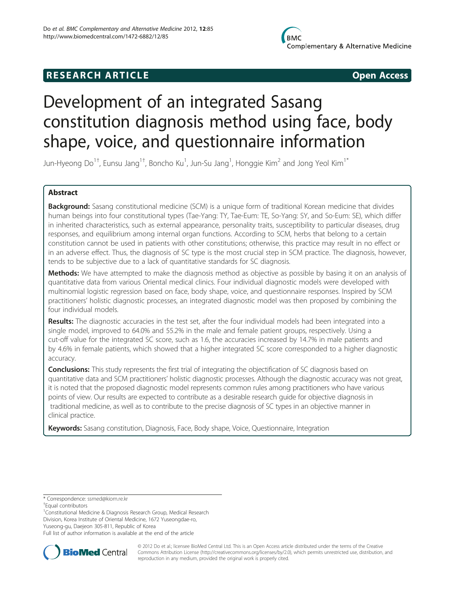## **RESEARCH ARTICLE CONSUMING A RESEARCH ARTICLE**

# Development of an integrated Sasang constitution diagnosis method using face, body shape, voice, and questionnaire information

Jun-Hyeong Do $^{1\dagger}$ , Eunsu Jang $^{1\dagger}$ , Boncho Ku $^1$ , Jun-Su Jang $^1$ , Honggie Kim $^2$  and Jong Yeol Kim $^{1*}$ 

## Abstract

Background: Sasang constitutional medicine (SCM) is a unique form of traditional Korean medicine that divides human beings into four constitutional types (Tae-Yang: TY, Tae-Eum: TE, So-Yang: SY, and So-Eum: SE), which differ in inherited characteristics, such as external appearance, personality traits, susceptibility to particular diseases, drug responses, and equilibrium among internal organ functions. According to SCM, herbs that belong to a certain constitution cannot be used in patients with other constitutions; otherwise, this practice may result in no effect or in an adverse effect. Thus, the diagnosis of SC type is the most crucial step in SCM practice. The diagnosis, however, tends to be subjective due to a lack of quantitative standards for SC diagnosis.

Methods: We have attempted to make the diagnosis method as objective as possible by basing it on an analysis of quantitative data from various Oriental medical clinics. Four individual diagnostic models were developed with multinomial logistic regression based on face, body shape, voice, and questionnaire responses. Inspired by SCM practitioners' holistic diagnostic processes, an integrated diagnostic model was then proposed by combining the four individual models.

Results: The diagnostic accuracies in the test set, after the four individual models had been integrated into a single model, improved to 64.0% and 55.2% in the male and female patient groups, respectively. Using a cut-off value for the integrated SC score, such as 1.6, the accuracies increased by 14.7% in male patients and by 4.6% in female patients, which showed that a higher integrated SC score corresponded to a higher diagnostic accuracy.

**Conclusions:** This study represents the first trial of integrating the objectification of SC diagnosis based on quantitative data and SCM practitioners' holistic diagnostic processes. Although the diagnostic accuracy was not great, it is noted that the proposed diagnostic model represents common rules among practitioners who have various points of view. Our results are expected to contribute as a desirable research guide for objective diagnosis in traditional medicine, as well as to contribute to the precise diagnosis of SC types in an objective manner in clinical practice.

**Keywords:** Sasang constitution, Diagnosis, Face, Body shape, Voice, Questionnaire, Integration

<sup>1</sup>Constitutional Medicine & Diagnosis Research Group, Medical Research Division, Korea Institute of Oriental Medicine, 1672 Yuseongdae-ro, Yuseong-gu, Daejeon 305-811, Republic of Korea

Full list of author information is available at the end of the article



© 2012 Do et al.; licensee BioMed Central Ltd. This is an Open Access article distributed under the terms of the Creative Commons Attribution License [\(http://creativecommons.org/licenses/by/2.0\)](http://creativecommons.org/licenses/by/2.0), which permits unrestricted use, distribution, and reproduction in any medium, provided the original work is properly cited.

<sup>\*</sup> Correspondence: [ssmed@kiom.re.kr](mailto:ssmed@kiom.re.kr) †

Equal contributors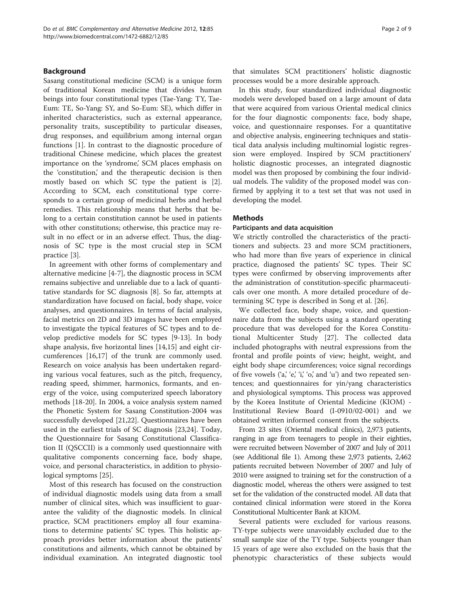#### Background

Sasang constitutional medicine (SCM) is a unique form of traditional Korean medicine that divides human beings into four constitutional types (Tae-Yang: TY, Tae-Eum: TE, So-Yang: SY, and So-Eum: SE), which differ in inherited characteristics, such as external appearance, personality traits, susceptibility to particular diseases, drug responses, and equilibrium among internal organ functions [\[1](#page-7-0)]. In contrast to the diagnostic procedure of traditional Chinese medicine, which places the greatest importance on the 'syndrome', SCM places emphasis on the 'constitution,' and the therapeutic decision is then mostly based on which SC type the patient is [\[2](#page-7-0)]. According to SCM, each constitutional type corresponds to a certain group of medicinal herbs and herbal remedies. This relationship means that herbs that belong to a certain constitution cannot be used in patients with other constitutions; otherwise, this practice may result in no effect or in an adverse effect. Thus, the diagnosis of SC type is the most crucial step in SCM practice [\[3](#page-7-0)].

In agreement with other forms of complementary and alternative medicine [\[4-7](#page-7-0)], the diagnostic process in SCM remains subjective and unreliable due to a lack of quantitative standards for SC diagnosis [\[8](#page-7-0)]. So far, attempts at standardization have focused on facial, body shape, voice analyses, and questionnaires. In terms of facial analysis, facial metrics on 2D and 3D images have been employed to investigate the typical features of SC types and to develop predictive models for SC types [[9-13\]](#page-7-0). In body shape analysis, five horizontal lines [[14,15\]](#page-7-0) and eight circumferences [[16,17\]](#page-7-0) of the trunk are commonly used. Research on voice analysis has been undertaken regarding various vocal features, such as the pitch, frequency, reading speed, shimmer, harmonics, formants, and energy of the voice, using computerized speech laboratory methods [\[18-20](#page-7-0)]. In 2004, a voice analysis system named the Phonetic System for Sasang Constitution-2004 was successfully developed [[21,22](#page-7-0)]. Questionnaires have been used in the earliest trials of SC diagnosis [\[23,24](#page-7-0)]. Today, the Questionnaire for Sasang Constitutional Classification II (QSCCII) is a commonly used questionnaire with qualitative components concerning face, body shape, voice, and personal characteristics, in addition to physiological symptoms [\[25](#page-7-0)].

Most of this research has focused on the construction of individual diagnostic models using data from a small number of clinical sites, which was insufficient to guarantee the validity of the diagnostic models. In clinical practice, SCM practitioners employ all four examinations to determine patients' SC types. This holistic approach provides better information about the patients' constitutions and ailments, which cannot be obtained by individual examination. An integrated diagnostic tool

that simulates SCM practitioners' holistic diagnostic processes would be a more desirable approach.

In this study, four standardized individual diagnostic models were developed based on a large amount of data that were acquired from various Oriental medical clinics for the four diagnostic components: face, body shape, voice, and questionnaire responses. For a quantitative and objective analysis, engineering techniques and statistical data analysis including multinomial logistic regression were employed. Inspired by SCM practitioners' holistic diagnostic processes, an integrated diagnostic model was then proposed by combining the four individual models. The validity of the proposed model was confirmed by applying it to a test set that was not used in developing the model.

#### **Methods**

#### Participants and data acquisition

We strictly controlled the characteristics of the practitioners and subjects. 23 and more SCM practitioners, who had more than five years of experience in clinical practice, diagnosed the patients' SC types. Their SC types were confirmed by observing improvements after the administration of constitution-specific pharmaceuticals over one month. A more detailed procedure of determining SC type is described in Song et al. [\[26](#page-7-0)].

We collected face, body shape, voice, and questionnaire data from the subjects using a standard operating procedure that was developed for the Korea Constitutional Multicenter Study [\[27\]](#page-7-0). The collected data included photographs with neutral expressions from the frontal and profile points of view; height, weight, and eight body shape circumferences; voice signal recordings of five vowels  $(a, 'e', 'i', 'o', and 'u')$  and two repeated sentences; and questionnaires for yin/yang characteristics and physiological symptoms. This process was approved by the Korea Institute of Oriental Medicine (KIOM) - Institutional Review Board (I-0910/02-001) and we obtained written informed consent from the subjects.

From 23 sites (Oriental medical clinics), 2,973 patients, ranging in age from teenagers to people in their eighties, were recruited between November of 2007 and July of 2011 (see [Additional file 1](#page-6-0)). Among these 2,973 patients, 2,462 patients recruited between November of 2007 and July of 2010 were assigned to training set for the construction of a diagnostic model, whereas the others were assigned to test set for the validation of the constructed model. All data that contained clinical information were stored in the Korea Constitutional Multicenter Bank at KIOM.

Several patients were excluded for various reasons. TY-type subjects were unavoidably excluded due to the small sample size of the TY type. Subjects younger than 15 years of age were also excluded on the basis that the phenotypic characteristics of these subjects would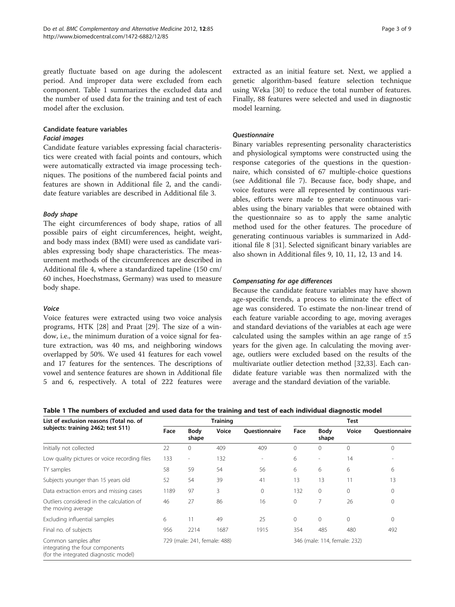<span id="page-2-0"></span>greatly fluctuate based on age during the adolescent period. And improper data were excluded from each component. Table 1 summarizes the excluded data and the number of used data for the training and test of each model after the exclusion.

## Candidate feature variables

#### Facial images

Candidate feature variables expressing facial characteristics were created with facial points and contours, which were automatically extracted via image processing techniques. The positions of the numbered facial points and features are shown in [Additional file 2,](#page-6-0) and the candidate feature variables are described in [Additional file 3.](#page-6-0)

## Body shape

The eight circumferences of body shape, ratios of all possible pairs of eight circumferences, height, weight, and body mass index (BMI) were used as candidate variables expressing body shape characteristics. The measurement methods of the circumferences are described in [Additional file 4](#page-6-0), where a standardized tapeline (150 cm/ 60 inches, Hoechstmass, Germany) was used to measure body shape.

## Voice

Voice features were extracted using two voice analysis programs, HTK [[28](#page-7-0)] and Praat [[29\]](#page-7-0). The size of a window, i.e., the minimum duration of a voice signal for feature extraction, was 40 ms, and neighboring windows overlapped by 50%. We used 41 features for each vowel and 17 features for the sentences. The descriptions of vowel and sentence features are shown in [Additional file](#page-6-0) [5](#page-6-0) and [6](#page-6-0), respectively. A total of 222 features were

extracted as an initial feature set. Next, we applied a genetic algorithm-based feature selection technique using Weka [\[30](#page-7-0)] to reduce the total number of features. Finally, 88 features were selected and used in diagnostic model learning.

## **Ouestionnaire**

Binary variables representing personality characteristics and physiological symptoms were constructed using the response categories of the questions in the questionnaire, which consisted of 67 multiple-choice questions (see [Additional file 7](#page-6-0)). Because face, body shape, and voice features were all represented by continuous variables, efforts were made to generate continuous variables using the binary variables that were obtained with the questionnaire so as to apply the same analytic method used for the other features. The procedure of generating continuous variables is summarized in [Add](#page-6-0)[itional file 8](#page-6-0) [[31\]](#page-7-0). Selected significant binary variables are also shown in Additional files [9, 10, 11,](#page-6-0) [12, 13](#page-7-0) and [14](#page-7-0).

## Compensating for age differences

Because the candidate feature variables may have shown age-specific trends, a process to eliminate the effect of age was considered. To estimate the non-linear trend of each feature variable according to age, moving averages and standard deviations of the variables at each age were calculated using the samples within an age range of  $\pm 5$ years for the given age. In calculating the moving average, outliers were excluded based on the results of the multivariate outlier detection method [[32,](#page-7-0)[33\]](#page-8-0). Each candidate feature variable was then normalized with the average and the standard deviation of the variable.

| List of exclusion reasons (Total no. of                                                                                          |      |               | <b>Training</b> |                      |              | Test                         |       |                      |  |  |
|----------------------------------------------------------------------------------------------------------------------------------|------|---------------|-----------------|----------------------|--------------|------------------------------|-------|----------------------|--|--|
| subjects: training 2462; test 511)                                                                                               | Face | Body<br>shape | Voice           | <b>Ouestionnaire</b> | Face         | Body<br>shape                | Voice | <b>Ouestionnaire</b> |  |  |
| Initially not collected                                                                                                          | 22   | $\Omega$      | 409             | 409                  | $\mathbf{0}$ | $\mathbf{0}$                 | 0     | 0                    |  |  |
| Low quality pictures or voice recording files                                                                                    | 133  | $\sim$        | 132             | $\overline{a}$       | 6            | $\overline{\phantom{a}}$     | 14    |                      |  |  |
| TY samples                                                                                                                       | 58   | 59            | 54              | 56                   | 6            | 6                            | 6     | 6                    |  |  |
| Subjects younger than 15 years old                                                                                               | 52   | 54            | 39              | 41                   | 13           | 13                           | 11    | 13                   |  |  |
| Data extraction errors and missing cases                                                                                         | 1189 | 97            | 3               | $\mathbf{0}$         | 132          | $\mathbf{0}$                 | 0     | $\Omega$             |  |  |
| Outliers considered in the calculation of<br>the moving average                                                                  | 46   | 27            | 86              | 16                   | $\mathbf{0}$ | 7                            | 26    | 0                    |  |  |
| Excluding influential samples                                                                                                    | 6    | 11            | 49              | 25                   | $\circ$      | $\mathbf 0$                  | 0     | $\Omega$             |  |  |
| Final no. of subjects                                                                                                            | 956  | 2214          | 1687            | 1915                 | 354          | 485                          | 480   | 492                  |  |  |
| 729 (male: 241, female: 488)<br>Common samples after<br>integrating the four components<br>(for the integrated diagnostic model) |      |               |                 |                      |              | 346 (male: 114, female: 232) |       |                      |  |  |

|  |  | Table 1 The numbers of excluded and used data for the training and test of each individual diagnostic model |  |
|--|--|-------------------------------------------------------------------------------------------------------------|--|
|  |  |                                                                                                             |  |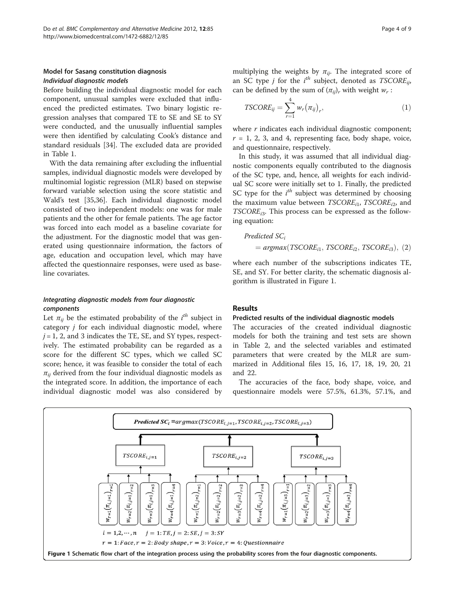#### Model for Sasang constitution diagnosis Individual diagnostic models

Before building the individual diagnostic model for each component, unusual samples were excluded that influenced the predicted estimates. Two binary logistic regression analyses that compared TE to SE and SE to SY were conducted, and the unusually influential samples were then identified by calculating Cook's distance and standard residuals [\[34](#page-8-0)]. The excluded data are provided in Table [1.](#page-2-0)

With the data remaining after excluding the influential samples, individual diagnostic models were developed by multinomial logistic regression (MLR) based on stepwise forward variable selection using the score statistic and Wald's test [\[35,36\]](#page-8-0). Each individual diagnostic model consisted of two independent models: one was for male patients and the other for female patients. The age factor was forced into each model as a baseline covariate for the adjustment. For the diagnostic model that was generated using questionnaire information, the factors of age, education and occupation level, which may have affected the questionnaire responses, were used as baseline covariates.

#### Integrating diagnostic models from four diagnostic components

Let  $\pi_{ij}$  be the estimated probability of the  $i^{th}$  subject in category j for each individual diagnostic model, where  $j = 1$ , 2, and 3 indicates the TE, SE, and SY types, respectively. The estimated probability can be regarded as a score for the different SC types, which we called SC score; hence, it was feasible to consider the total of each  $\pi_{ii}$  derived from the four individual diagnostic models as the integrated score. In addition, the importance of each individual diagnostic model was also considered by multiplying the weights by  $\pi_{ij}$ . The integrated score of an SC type *j* for the  $i^{th}$  subject, denoted as  $TSCORE_{ij}$ , can be defined by the sum of  $(\pi_{ii})_r$  with weight  $w_r$ :

$$
TSCORE_{ij} = \sum_{r=1}^{4} w_r (\pi_{ij})_r, \qquad (1)
$$

where  $r$  indicates each individual diagnostic component;  $r = 1, 2, 3,$  and 4, representing face, body shape, voice, and questionnaire, respectively.

In this study, it was assumed that all individual diagnostic components equally contributed to the diagnosis of the SC type, and, hence, all weights for each individual SC score were initially set to 1. Finally, the predicted SC type for the  $i^{th}$  subject was determined by choosing the maximum value between  $TSCORE<sub>i1</sub>$ ,  $TSCORE<sub>i2</sub>$ , and  $TSCORE_{i3}$ . This process can be expressed as the following equation:

#### Predicted SC<sub>i</sub>

$$
= argmax(TSCORE_{i1}, TSCORE_{i2}, TSCORE_{i3}), (2)
$$

where each number of the subscriptions indicates TE, SE, and SY. For better clarity, the schematic diagnosis algorithm is illustrated in Figure 1.

#### Results

#### Predicted results of the individual diagnostic models

The accuracies of the created individual diagnostic models for both the training and test sets are shown in Table [2](#page-4-0), and the selected variables and estimated parameters that were created by the MLR are summarized in Additional files [15](#page-7-0), [16, 17, 18, 19](#page-7-0), [20](#page-7-0), [21](#page-7-0) and [22.](#page-7-0)

The accuracies of the face, body shape, voice, and questionnaire models were 57.5%, 61.3%, 57.1%, and

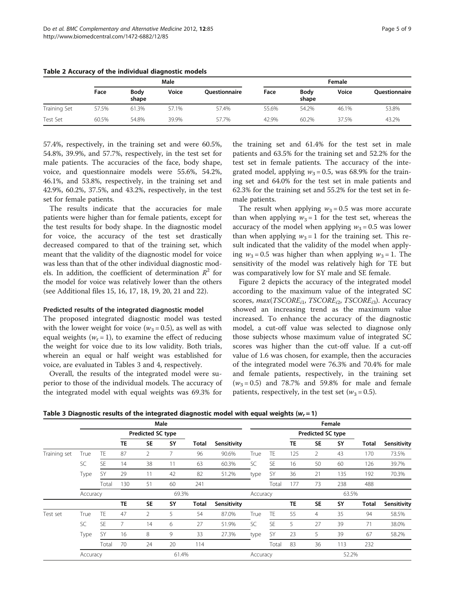|              |       |               | Male  |                      | Female |               |       |               |  |  |  |
|--------------|-------|---------------|-------|----------------------|--------|---------------|-------|---------------|--|--|--|
|              | Face  | Body<br>shape | Voice | <b>Ouestionnaire</b> | Face   | Body<br>shape | Voice | Questionnaire |  |  |  |
| Training Set | 57.5% | 61.3%         | 57.1% | 57.4%                | 55.6%  | 54.2%         | 46.1% | 53.8%         |  |  |  |
| Test Set     | 60.5% | 54.8%         | 39.9% | 57.7%                | 42.9%  | 60.2%         | 37.5% | 43.2%         |  |  |  |

<span id="page-4-0"></span>Table 2 Accuracy of the individual diagnostic models

57.4%, respectively, in the training set and were 60.5%, 54.8%, 39.9%, and 57.7%, respectively, in the test set for male patients. The accuracies of the face, body shape, voice, and questionnaire models were 55.6%, 54.2%, 46.1%, and 53.8%, respectively, in the training set and 42.9%, 60.2%, 37.5%, and 43.2%, respectively, in the test set for female patients.

The results indicate that the accuracies for male patients were higher than for female patients, except for the test results for body shape. In the diagnostic model for voice, the accuracy of the test set drastically decreased compared to that of the training set, which meant that the validity of the diagnostic model for voice was less than that of the other individual diagnostic models. In addition, the coefficient of determination  $R^2$  for the model for voice was relatively lower than the others (see Additional files [15](#page-7-0), [16](#page-7-0), [17, 18](#page-7-0), [19, 20, 21](#page-7-0) and [22](#page-7-0)).

## Predicted results of the integrated diagnostic model

The proposed integrated diagnostic model was tested with the lower weight for voice ( $w_3 = 0.5$ ), as well as with equal weights ( $w_r = 1$ ), to examine the effect of reducing the weight for voice due to its low validity. Both trials, wherein an equal or half weight was established for voice, are evaluated in Tables 3 and [4](#page-5-0), respectively.

Overall, the results of the integrated model were superior to those of the individual models. The accuracy of the integrated model with equal weights was 69.3% for

the training set and 61.4% for the test set in male patients and 63.5% for the training set and 52.2% for the test set in female patients. The accuracy of the integrated model, applying  $w_3 = 0.5$ , was 68.9% for the training set and 64.0% for the test set in male patients and 62.3% for the training set and 55.2% for the test set in female patients.

The result when applying  $w_3 = 0.5$  was more accurate than when applying  $w_3 = 1$  for the test set, whereas the accuracy of the model when applying  $w_3 = 0.5$  was lower than when applying  $w_3 = 1$  for the training set. This result indicated that the validity of the model when applying  $w_3 = 0.5$  was higher than when applying  $w_3 = 1$ . The sensitivity of the model was relatively high for TE but was comparatively low for SY male and SE female.

Figure [2](#page-5-0) depicts the accuracy of the integrated model according to the maximum value of the integrated SC scores,  $max(TSCORE_{i1}, TSCORE_{i2}, TSCORE_{i3})$ . Accuracy showed an increasing trend as the maximum value increased. To enhance the accuracy of the diagnostic model, a cut-off value was selected to diagnose only those subjects whose maximum value of integrated SC scores was higher than the cut-off value. If a cut-off value of 1.6 was chosen, for example, then the accuracies of the integrated model were 76.3% and 70.4% for male and female patients, respectively, in the training set  $(w_3 = 0.5)$  and 78.7% and 59.8% for male and female patients, respectively, in the test set ( $w_3 = 0.5$ ).

Table 3 Diagnostic results of the integrated diagnostic model with equal weights ( $w = 1$ )

|              | -        |           |           |                   |       | -     |             |          |           |                   |                |        |       |             |
|--------------|----------|-----------|-----------|-------------------|-------|-------|-------------|----------|-----------|-------------------|----------------|--------|-------|-------------|
|              |          |           |           |                   | Male  |       |             |          |           |                   |                | Female |       |             |
|              |          |           |           | Predicted SC type |       |       |             |          |           | Predicted SC type |                |        |       |             |
|              |          |           | <b>TE</b> | <b>SE</b>         | SY    | Total | Sensitivity |          |           | TE                | <b>SE</b>      | SY     | Total | Sensitivity |
| Training set | True     | <b>TE</b> | 87        | 2                 |       | 96    | 90.6%       | True     | TE.       | 125               | 2              | 43     | 170   | 73.5%       |
|              | SC       | SE        | 14        | 38                | 11    | 63    | 60.3%       | SC       | <b>SE</b> | 16                | 50             | 60     | 126   | 39.7%       |
|              | Type     | SY        | 29        | 11                | 42    | 82    | 51.2%       | type     | SY        | 36                | 21             | 135    | 192   | 70.3%       |
|              |          | Total     | 130       | 51                | 60    | 241   |             |          | Total     | 177               | 73             | 238    | 488   |             |
|              | Accuracy |           |           | 69.3%             |       |       | Accuracy    |          |           |                   | 63.5%          |        |       |             |
|              |          |           | TE        | <b>SE</b>         | SY    | Total | Sensitivity |          |           | TE                | <b>SE</b>      | SY     | Total | Sensitivity |
| Test set     | True     | <b>TE</b> | 47        | $\mathfrak{D}$    | 5     | 54    | 87.0%       | True     | <b>TE</b> | 55                | $\overline{4}$ | 35     | 94    | 58.5%       |
|              | SC       | SE        | 7         | 14                | 6     | 27    | 51.9%       | SC       | <b>SE</b> | 5                 | 27             | 39     | 71    | 38.0%       |
|              | Type     | SY        | 16        | 8                 | 9     | 33    | 27.3%       | type     | SY        | 23                | 5              | 39     | 67    | 58.2%       |
|              |          | Total     | 70        | 24                | 20    | 114   |             |          | Total     | 83                | 36             | 113    | 232   |             |
|              | Accuracy |           |           |                   | 61.4% |       |             | Accuracy |           | 52.2%             |                |        |       |             |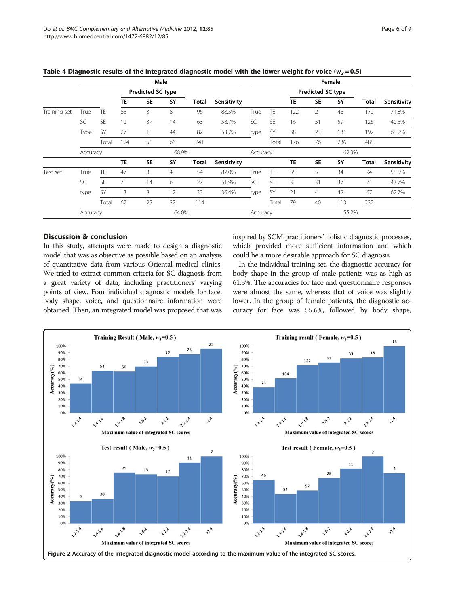|              | Male     |           |                |                   |                |              |             |                   | Female    |                          |                |       |       |             |  |  |  |
|--------------|----------|-----------|----------------|-------------------|----------------|--------------|-------------|-------------------|-----------|--------------------------|----------------|-------|-------|-------------|--|--|--|
|              |          |           |                |                   |                |              |             |                   |           |                          |                |       |       |             |  |  |  |
|              |          |           |                | Predicted SC type |                |              | Sensitivity |                   |           | <b>Predicted SC type</b> |                |       |       |             |  |  |  |
|              |          |           | TE             | <b>SE</b>         | <b>SY</b>      | Total        |             |                   |           | TE                       | <b>SE</b>      | SY    | Total | Sensitivity |  |  |  |
| Training set | True     | TE        | 85             | 3                 | 8              | 96           | 88.5%       | True              | <b>TE</b> | 122                      | 2              | 46    | 170   | 71.8%       |  |  |  |
|              | SC       | <b>SE</b> | 12             | 37                | 14             | 63           | 58.7%       | SC                | <b>SE</b> | 16                       | 51             | 59    | 126   | 40.5%       |  |  |  |
|              | Type     | SY        | 27             | 11                | 44             | 82           | 53.7%       | type              | SY        | 38                       | 23             | 131   | 192   | 68.2%       |  |  |  |
|              |          | Total     | 124            | 51                | 66             | 241          |             |                   | Total     | 176                      | 76             | 236   | 488   |             |  |  |  |
|              | Accuracy |           |                |                   | 68.9%          |              |             | Accuracy          |           |                          |                | 62.3% |       |             |  |  |  |
|              |          |           | <b>TE</b>      | <b>SE</b>         | SY             | <b>Total</b> | Sensitivity |                   |           | <b>TE</b>                | <b>SE</b>      | SY    | Total | Sensitivity |  |  |  |
| Test set     | True     | TE        | 47             | 3                 | $\overline{4}$ | 54           | 87.0%       | True              | TE        | 55                       | 5              | 34    | 94    | 58.5%       |  |  |  |
|              | SC       | <b>SE</b> | $\overline{7}$ | 14                | 6              | 27           | 51.9%       | SC                | <b>SE</b> | 3                        | 31             | 37    | 71    | 43.7%       |  |  |  |
|              | type     | SY        | 13             | 8                 | 12             | 33           | 36.4%       | type              | <b>SY</b> | 21                       | $\overline{4}$ | 42    | 67    | 62.7%       |  |  |  |
|              |          | Total     | 67             | 25                | 22             | 114          |             |                   | Total     | 79                       | 40             | 113   | 232   |             |  |  |  |
|              | Accuracy |           |                | 64.0%             |                |              |             | 55.2%<br>Accuracy |           |                          |                |       |       |             |  |  |  |

<span id="page-5-0"></span>Table 4 Diagnostic results of the integrated diagnostic model with the lower weight for voice ( $w_3$  = 0.5)

## Discussion & conclusion

In this study, attempts were made to design a diagnostic model that was as objective as possible based on an analysis of quantitative data from various Oriental medical clinics. We tried to extract common criteria for SC diagnosis from a great variety of data, including practitioners' varying points of view. Four individual diagnostic models for face, body shape, voice, and questionnaire information were obtained. Then, an integrated model was proposed that was inspired by SCM practitioners' holistic diagnostic processes, which provided more sufficient information and which could be a more desirable approach for SC diagnosis.

In the individual training set, the diagnostic accuracy for body shape in the group of male patients was as high as 61.3%. The accuracies for face and questionnaire responses were almost the same, whereas that of voice was slightly lower. In the group of female patients, the diagnostic accuracy for face was 55.6%, followed by body shape,

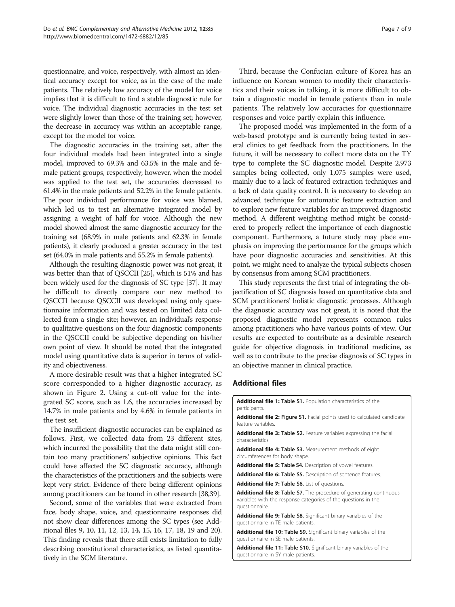<span id="page-6-0"></span>questionnaire, and voice, respectively, with almost an identical accuracy except for voice, as in the case of the male patients. The relatively low accuracy of the model for voice implies that it is difficult to find a stable diagnostic rule for voice. The individual diagnostic accuracies in the test set were slightly lower than those of the training set; however, the decrease in accuracy was within an acceptable range, except for the model for voice.

The diagnostic accuracies in the training set, after the four individual models had been integrated into a single model, improved to 69.3% and 63.5% in the male and female patient groups, respectively; however, when the model was applied to the test set, the accuracies decreased to 61.4% in the male patients and 52.2% in the female patients. The poor individual performance for voice was blamed, which led us to test an alternative integrated model by assigning a weight of half for voice. Although the new model showed almost the same diagnostic accuracy for the training set (68.9% in male patients and 62.3% in female patients), it clearly produced a greater accuracy in the test set (64.0% in male patients and 55.2% in female patients).

Although the resulting diagnostic power was not great, it was better than that of QSCCII [\[25](#page-7-0)], which is 51% and has been widely used for the diagnosis of SC type [[37](#page-8-0)]. It may be difficult to directly compare our new method to QSCCII because QSCCII was developed using only questionnaire information and was tested on limited data collected from a single site; however, an individual's response to qualitative questions on the four diagnostic components in the QSCCII could be subjective depending on his/her own point of view. It should be noted that the integrated model using quantitative data is superior in terms of validity and objectiveness.

A more desirable result was that a higher integrated SC score corresponded to a higher diagnostic accuracy, as shown in Figure [2.](#page-5-0) Using a cut-off value for the integrated SC score, such as 1.6, the accuracies increased by 14.7% in male patients and by 4.6% in female patients in the test set.

The insufficient diagnostic accuracies can be explained as follows. First, we collected data from 23 different sites, which incurred the possibility that the data might still contain too many practitioners' subjective opinions. This fact could have affected the SC diagnostic accuracy, although the characteristics of the practitioners and the subjects were kept very strict. Evidence of there being different opinions among practitioners can be found in other research [\[38,39\]](#page-8-0).

Second, some of the variables that were extracted from face, body shape, voice, and questionnaire responses did not show clear differences among the SC types (see Additional files 9, 10, 11, [12](#page-7-0), [13, 14](#page-7-0), [15](#page-7-0), [16, 17, 18](#page-7-0), [19](#page-7-0) and [20](#page-7-0)). This finding reveals that there still exists limitation to fully describing constitutional characteristics, as listed quantitatively in the SCM literature.

Third, because the Confucian culture of Korea has an influence on Korean women to modify their characteristics and their voices in talking, it is more difficult to obtain a diagnostic model in female patients than in male patients. The relatively low accuracies for questionnaire responses and voice partly explain this influence.

The proposed model was implemented in the form of a web-based prototype and is currently being tested in several clinics to get feedback from the practitioners. In the future, it will be necessary to collect more data on the TY type to complete the SC diagnostic model. Despite 2,973 samples being collected, only 1,075 samples were used, mainly due to a lack of featured extraction techniques and a lack of data quality control. It is necessary to develop an advanced technique for automatic feature extraction and to explore new feature variables for an improved diagnostic method. A different weighting method might be considered to properly reflect the importance of each diagnostic component. Furthermore, a future study may place emphasis on improving the performance for the groups which have poor diagnostic accuracies and sensitivities. At this point, we might need to analyze the typical subjects chosen by consensus from among SCM practitioners.

This study represents the first trial of integrating the objectification of SC diagnosis based on quantitative data and SCM practitioners' holistic diagnostic processes. Although the diagnostic accuracy was not great, it is noted that the proposed diagnostic model represents common rules among practitioners who have various points of view. Our results are expected to contribute as a desirable research guide for objective diagnosis in traditional medicine, as well as to contribute to the precise diagnosis of SC types in an objective manner in clinical practice.

## Additional files

questionnaire in SY male patients.

| <b>Additional file 1: Table S1.</b> Population characteristics of the<br>participants.                                                                  |
|---------------------------------------------------------------------------------------------------------------------------------------------------------|
| <b>Additional file 2: Figure S1.</b> Facial points used to calculated candidate<br>feature variables.                                                   |
| <b>Additional file 3: Table S2.</b> Feature variables expressing the facial<br>characteristics.                                                         |
| Additional file 4: Table S3. Measurement methods of eight<br>circumferences for body shape.                                                             |
| <b>Additional file 5: Table S4.</b> Description of vowel features.                                                                                      |
| <b>Additional file 6: Table S5.</b> Description of sentence features.                                                                                   |
| Additional file 7: Table S6. List of questions.                                                                                                         |
| Additional file 8: Table S7. The procedure of generating continuous<br>variables with the response categories of the questions in the<br>questionnaire. |
| Additional file 9: Table S8. Significant binary variables of the<br>questionnaire in TE male patients.                                                  |
| Additional file 10: Table S9. Significant binary variables of the<br>questionnaire in SE male patients.                                                 |
| Additional file 11: Table S10. Significant binary variables of the                                                                                      |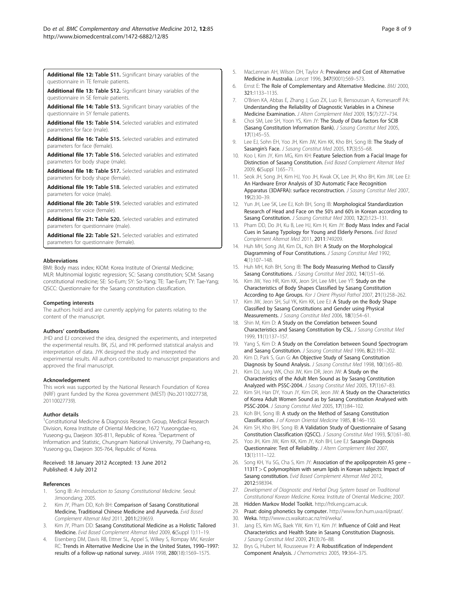<span id="page-7-0"></span>[Additional file 12:](http://www.biomedcentral.com/content/supplementary/1472-6882-12-85-S12.docx) Table S11. Significant binary variables of the questionnaire in TE female patients.

[Additional file 13:](http://www.biomedcentral.com/content/supplementary/1472-6882-12-85-S13.docx) Table S12. Significant binary variables of the questionnaire in SE female patients.

[Additional file 14:](http://www.biomedcentral.com/content/supplementary/1472-6882-12-85-S14.docx) Table S13. Significant binary variables of the questionnaire in SY female patients.

[Additional file 15:](http://www.biomedcentral.com/content/supplementary/1472-6882-12-85-S15.docx) Table S14. Selected variables and estimated parameters for face (male).

[Additional file 16:](http://www.biomedcentral.com/content/supplementary/1472-6882-12-85-S16.docx) Table S15. Selected variables and estimated parameters for face (female).

[Additional file 17:](http://www.biomedcentral.com/content/supplementary/1472-6882-12-85-S17.docx) Table S16. Selected variables and estimated parameters for body shape (male).

[Additional file 18:](http://www.biomedcentral.com/content/supplementary/1472-6882-12-85-S18.docx) Table S17. Selected variables and estimated parameters for body shape (female).

[Additional file 19:](http://www.biomedcentral.com/content/supplementary/1472-6882-12-85-S19.docx) Table S18. Selected variables and estimated parameters for voice (male).

[Additional file 20:](http://www.biomedcentral.com/content/supplementary/1472-6882-12-85-S20.docx) Table S19. Selected variables and estimated parameters for voice (female).

[Additional file 21:](http://www.biomedcentral.com/content/supplementary/1472-6882-12-85-S21.docx) Table S20. Selected variables and estimated parameters for questionnaire (male).

[Additional file 22:](http://www.biomedcentral.com/content/supplementary/1472-6882-12-85-S22.docx) Table S21. Selected variables and estimated parameters for questionnaire (female).

#### Abbreviations

BMI: Body mass index; KIOM: Korea Institute of Oriental Medicine; MLR: Multinomial logistic regression; SC: Sasang constitution; SCM: Sasang constitutional medicine; SE: So-Eum; SY: So-Yang; TE: Tae-Eum; TY: Tae-Yang; QSCC: Questionnaire for the Sasang constitution classification.

#### Competing interests

The authors hold and are currently applying for patents relating to the content of the manuscript.

#### Authors' contributions

JHD and EJ conceived the idea, designed the experiments, and interpreted the experimental results. BK, JSJ, and HK performed statistical analysis and interpretation of data. JYK designed the study and interpreted the experimental results. All authors contributed to manuscript preparations and approved the final manuscript.

#### Acknowledgement

This work was supported by the National Research Foundation of Korea (NRF) grant funded by the Korea government (MEST) (No.20110027738, 20110027739).

#### Author details

<sup>1</sup> Constitutional Medicine & Diagnosis Research Group, Medical Research Division, Korea Institute of Oriental Medicine, 1672 Yuseongdae-ro, Yuseong-gu, Daejeon 305-811, Republic of Korea. <sup>2</sup>Department of Information and Statistic, Chungnam National University, 79 Daehang-ro, Yuseong-gu, Daejeon 305-764, Republic of Korea.

#### Received: 18 January 2012 Accepted: 13 June 2012 Published: 4 July 2012

#### References

- 1. Song IB: An Introduction to Sasang Constitutional Medicine. Seoul: Jimoondang; 2005.
- Kim JY, Pham DD, Koh BH: Comparison of Sasang Constitutional Medicine, Traditional Chinese Medicine and Ayurveda. Evid Based Complement Alternat Med 2011, 2011:239659.
- Kim JY, Pham DD: Sasang Constitutional Medicine as a Holistic Tailored Medicine. Evid Based Complement Alternat Med 2009, 6(Suppl 1):11–19.
- 4. Eisenberg DM, Davis RB, Ettner SL, Appel S, Wilkey S, Rompay MV, Kessler RC: Trends in Alternative Medicine Use in the United States, 1990–1997: results of a follow-up national survey. JAMA 1998, 280(18):1569–1575.
- 5. MacLennan AH, Wilson DH, Taylor A: Prevalence and Cost of Alternative Medicine in Australia. Lancet 1996, 347(9001):569–573.
- 6. Ernst E: The Role of Complementary and Alternative Medicine. BMJ 2000, 321:1133–1135.
- 7. O'Brien KA, Abbas E, Zhang J, Guo ZX, Luo R, Bensoussan A, Komesaroff PA: Understanding the Reliability of Diagnostic Variables in a Chinese Medicine Examination. J Altern Complement Med 2009, 15(7):727–734.
- 8. Choi SM, Lee SH, Yoon YS, Kim JY: The Study of Data factors for SCIB (Sasang Constitution Information Bank). J Sasang Constitut Med 2005, 17(1):45–55.
- 9. Lee EJ, Sohn EH, Yoo JH, Kim JW, Kim KK, Kho BH, Song IB: The Study of Sasangin's Face. J Sasang Constitut Med 2005, 17(3):55–68.
- 10. Koo I, Kim JY, Kim MG, Kim KH: Feature Selection from a Facial Image for Distinction of Sasang Constitution. Evid Based Complement Alternat Med 2009, 6(Suppl 1):65–71.
- 11. Seok JH, Song JH, Kim HJ, Yoo JH, Kwak CK, Lee JH, Kho BH, Kim JW, Lee EJ: An Hardware Error Analysis of 3D Automatic Face Recognition Apparatus (3DAFRA): surface reconstruction. J Sasang Constitut Med 2007, 19(2):30–39.
- 12. Yun JH, Lee SK, Lee EJ, Koh BH, Song IB: Morphological Standardization Research of Head and Face on the 50's and 60's in Korean according to Sasang Constitution. J Sasang Constitut Med 2000, 12(2):123-131.
- 13. Pham DD, Do JH, Ku B, Lee HJ, Kim H, Kim JY: Body Mass Index and Facial Cues in Sasang Typology for Young and Elderly Persons. Evid Based Complement Alternat Med 2011, 2011:749209.
- 14. Huh MH, Song JM, Kim DL, Koh BH: A Study on the Morphological Diagramming of Four Constitutions. J Sasang Constitut Med 1992, 4(1):107–148.
- 15. Huh MH, Koh BH, Song IB: The Body Measuring Method to Classify Sasang Constitutions. J Sasang Constitut Med 2002, 14(1):51-66.
- 16. Kim JW, Yeo HR, Kim KK, Jeon SH, Lee MH, Lee YT: Study on the Characteristics of Body Shapes Classified by Sasang Constitution According to Age Groups. Kor J Orient Physiol Pathol 2007, 21(1):258–262.
- 17. Kim JW, Jeon SH, Sul YK, Kim KK, Lee EJ: A Study on the Body Shape Classified by Sasang Constitutions and Gender using Physical Measurements. J Sasang Constitut Med 2006, 18(1):54–61.
- 18. Shin M, Kim D: A Study on the Correlation between Sound Characteristics and Sasang Constitution by CSL. J Sasang Constitut Med 1999, 11(1):137–157.
- 19. Yang S, Kim D: A Study on the Correlation between Sound Spectrogram and Sasang Constitution. J Sasang Constitut Med 1996, 8(2):191–202.
- 20. Kim D, Park S, Gun G: An Objective Study of Sasang Constitution Diagnosis by Sound Analysis. J Sasang Constitut Med 1998, 10(1):65–80.
- 21. Kim DJ, Jung WK, Choi JW, Kim DR, Jeon JW: A Study on the Characteristics of the Adult Men Sound as by Sasang Constitution Analyzed with PSSC-2004. J Sasang Constitut Med 2005, 17(1):67–83.
- 22. Kim SH, Han DY, Youn JY, Kim DR, Jeon JW: A Study on the Characteristics of Korea Adult Women Sound as by Sasang Constitution Analysed with PSSC-2004. J Sasang Constitut Med 2005, 17(1):84–102.
- 23. Koh BH, Song IB: A study on the Method of Sasang Constitution Classification. J of Korean Oriental Medicine 1985, 8:146–150.
- 24. Kim SH, Kho BH, Song IB: A Validation Study of Questionnaire of Sasang Constitution Classification (QSCC). J Sasang Constitut Med 1993, 5(1):61–80.
- 25. Yoo JH, Kim JW, Kim KK, Kim JY, Koh BH, Lee EJ: Sasangin Diagnosis Questionnaire: Test of Reliability. J Altern Complement Med 2007, 13(1):111–122.
- 26. Song KH, Yu SG, Cha S, Kim JY: Association of the apolipoprotein A5 gene -1131T> C polymorphism with serum lipids in Korean subjects: Impact of Sasang constitution. Evid Based Complement Alternat Med 2012, 2012:598394.
- 27. Development of Diagnostic and Herbal Drug System based on Traditional Constitutional Korean Medicine. Korea: Institute of Oriental Medicine; 2007.
- 28. Hidden Markov Model Toolkit. <http://htk.eng.cam.ac.uk>.
- 29. Praat: doing phonetics by computer. [http://www.fon.hum.uva.nl/praat/.](http://www.fon.hum.uva.nl/praat/)
- 30. Weka. [http://www.cs.waikato.ac.nz/ml/weka/.](http://www.cs.waikato.ac.nz/ml/weka/)
- 31. Jang ES, Kim MG, Baek YW, Kim YJ, Kim JY: Influence of Cold and Heat Characteristics and Health State in Sasang Constitution Diagnosis. J Sasang Constitut Med 2009, 21(3):76–88.
- 32. Brys G, Hubert M, Rousseeuw PJ: A Robustification of Independent Component Analysis. J Chemometrics 2005, 19:364–375.